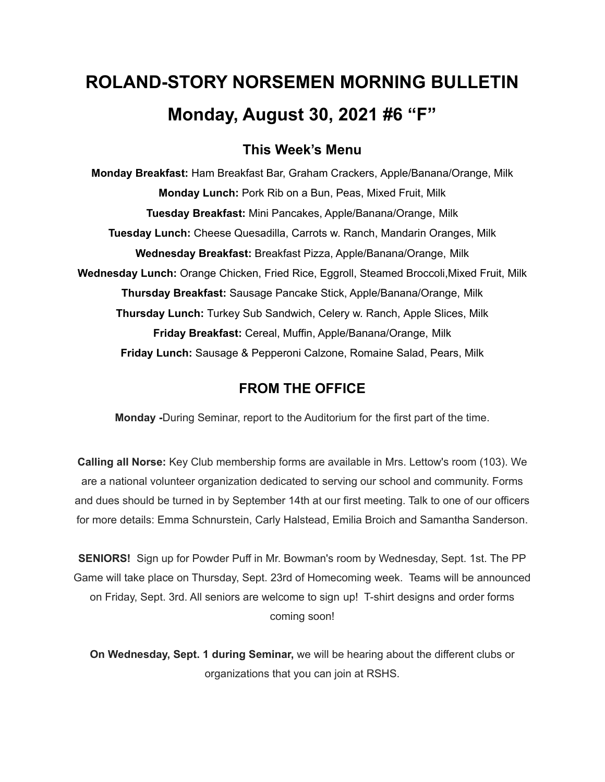# **ROLAND-STORY NORSEMEN MORNING BULLETIN Monday, August 30, 2021 #6 "F"**

## **This Week's Menu**

**Monday Breakfast:** Ham Breakfast Bar, Graham Crackers, Apple/Banana/Orange, Milk **Monday Lunch:** Pork Rib on a Bun, Peas, Mixed Fruit, Milk **Tuesday Breakfast:** Mini Pancakes, Apple/Banana/Orange, Milk **Tuesday Lunch:** Cheese Quesadilla, Carrots w. Ranch, Mandarin Oranges, Milk **Wednesday Breakfast:** Breakfast Pizza, Apple/Banana/Orange, Milk **Wednesday Lunch:** Orange Chicken, Fried Rice, Eggroll, Steamed Broccoli,Mixed Fruit, Milk **Thursday Breakfast:** Sausage Pancake Stick, Apple/Banana/Orange, Milk **Thursday Lunch:** Turkey Sub Sandwich, Celery w. Ranch, Apple Slices, Milk **Friday Breakfast:** Cereal, Muffin, Apple/Banana/Orange, Milk **Friday Lunch:** Sausage & Pepperoni Calzone, Romaine Salad, Pears, Milk

## **FROM THE OFFICE**

**Monday -**During Seminar, report to the Auditorium for the first part of the time.

**Calling all Norse:** Key Club membership forms are available in Mrs. Lettow's room (103). We are a national volunteer organization dedicated to serving our school and community. Forms and dues should be turned in by September 14th at our first meeting. Talk to one of our officers for more details: Emma Schnurstein, Carly Halstead, Emilia Broich and Samantha Sanderson.

**SENIORS!** Sign up for Powder Puff in Mr. Bowman's room by Wednesday, Sept. 1st. The PP Game will take place on Thursday, Sept. 23rd of Homecoming week. Teams will be announced on Friday, Sept. 3rd. All seniors are welcome to sign up! T-shirt designs and order forms coming soon!

**On Wednesday, Sept. 1 during Seminar,** we will be hearing about the different clubs or organizations that you can join at RSHS.